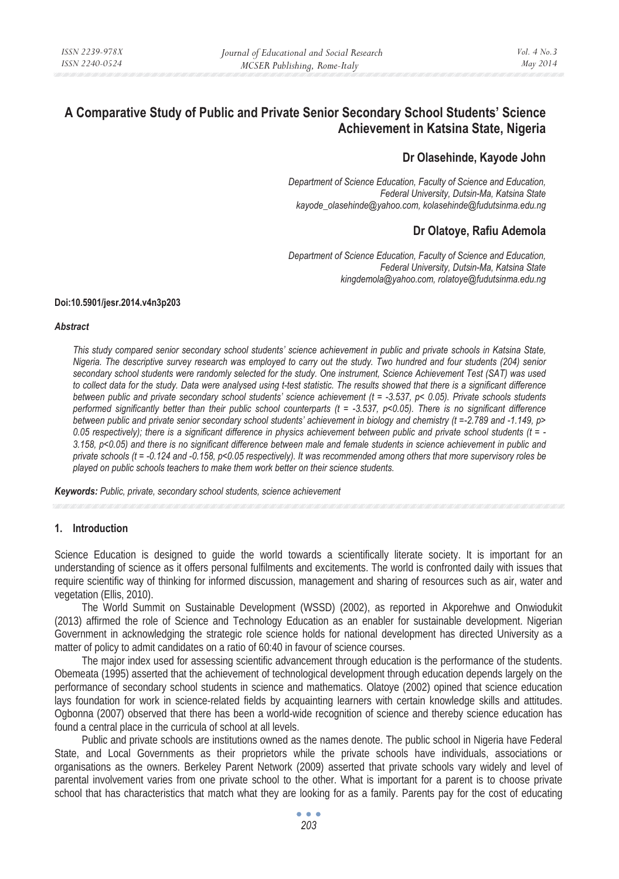# **A Comparative Study of Public and Private Senior Secondary School Students' Science Achievement in Katsina State, Nigeria**

# **Dr Olasehinde, Kayode John**

*Department of Science Education, Faculty of Science and Education, Federal University, Dutsin-Ma, Katsina State kayode\_olasehinde@yahoo.com, kolasehinde@fudutsinma.edu.ng* 

# **Dr Olatoye, Rafiu Ademola**

*Department of Science Education, Faculty of Science and Education, Federal University, Dutsin-Ma, Katsina State kingdemola@yahoo.com, rolatoye@fudutsinma.edu.ng* 

#### **Doi:10.5901/jesr.2014.v4n3p203**

#### *Abstract*

*This study compared senior secondary school students' science achievement in public and private schools in Katsina State, Nigeria. The descriptive survey research was employed to carry out the study. Two hundred and four students (204) senior secondary school students were randomly selected for the study. One instrument, Science Achievement Test (SAT) was used*  to collect data for the study. Data were analysed using t-test statistic. The results showed that there is a significant difference *between public and private secondary school students' science achievement (t = -3.537, p< 0.05). Private schools students performed significantly better than their public school counterparts (t = -3.537, p<0.05). There is no significant difference between public and private senior secondary school students' achievement in biology and chemistry (t =-2.789 and -1.149, p> 0.05 respectively); there is a significant difference in physics achievement between public and private school students (t = - 3.158, p<0.05) and there is no significant difference between male and female students in science achievement in public and private schools (t = -0.124 and -0.158, p<0.05 respectively). It was recommended among others that more supervisory roles be played on public schools teachers to make them work better on their science students.* 

*Keywords: Public, private, secondary school students, science achievement* 

#### **1. Introduction**

Science Education is designed to guide the world towards a scientifically literate society. It is important for an understanding of science as it offers personal fulfilments and excitements. The world is confronted daily with issues that require scientific way of thinking for informed discussion, management and sharing of resources such as air, water and vegetation (Ellis, 2010).

The World Summit on Sustainable Development (WSSD) (2002), as reported in Akporehwe and Onwiodukit (2013) affirmed the role of Science and Technology Education as an enabler for sustainable development. Nigerian Government in acknowledging the strategic role science holds for national development has directed University as a matter of policy to admit candidates on a ratio of 60:40 in favour of science courses.

The major index used for assessing scientific advancement through education is the performance of the students. Obemeata (1995) asserted that the achievement of technological development through education depends largely on the performance of secondary school students in science and mathematics. Olatoye (2002) opined that science education lays foundation for work in science-related fields by acquainting learners with certain knowledge skills and attitudes. Ogbonna (2007) observed that there has been a world-wide recognition of science and thereby science education has found a central place in the curricula of school at all levels.

Public and private schools are institutions owned as the names denote. The public school in Nigeria have Federal State, and Local Governments as their proprietors while the private schools have individuals, associations or organisations as the owners. Berkeley Parent Network (2009) asserted that private schools vary widely and level of parental involvement varies from one private school to the other. What is important for a parent is to choose private school that has characteristics that match what they are looking for as a family. Parents pay for the cost of educating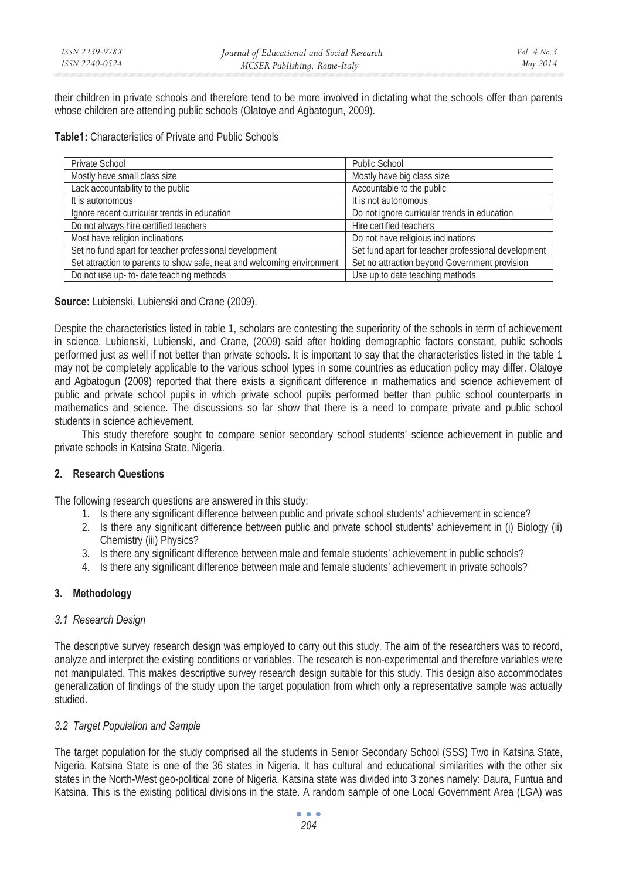their children in private schools and therefore tend to be more involved in dictating what the schools offer than parents whose children are attending public schools (Olatove and Agbatogun, 2009).

**Table1:** Characteristics of Private and Public Schools

| Private School                                                         | <b>Public School</b>                                |
|------------------------------------------------------------------------|-----------------------------------------------------|
| Mostly have small class size                                           | Mostly have big class size                          |
| Lack accountability to the public                                      | Accountable to the public                           |
| It is autonomous                                                       | It is not autonomous                                |
| Ignore recent curricular trends in education                           | Do not ignore curricular trends in education        |
| Do not always hire certified teachers                                  | Hire certified teachers                             |
| Most have religion inclinations                                        | Do not have religious inclinations                  |
| Set no fund apart for teacher professional development                 | Set fund apart for teacher professional development |
| Set attraction to parents to show safe, neat and welcoming environment | Set no attraction beyond Government provision       |
| Do not use up- to- date teaching methods                               | Use up to date teaching methods                     |

**Source:** Lubienski, Lubienski and Crane (2009).

Despite the characteristics listed in table 1, scholars are contesting the superiority of the schools in term of achievement in science. Lubienski, Lubienski, and Crane, (2009) said after holding demographic factors constant, public schools performed just as well if not better than private schools. It is important to say that the characteristics listed in the table 1 may not be completely applicable to the various school types in some countries as education policy may differ. Olatoye and Agbatogun (2009) reported that there exists a significant difference in mathematics and science achievement of public and private school pupils in which private school pupils performed better than public school counterparts in mathematics and science. The discussions so far show that there is a need to compare private and public school students in science achievement.

This study therefore sought to compare senior secondary school students' science achievement in public and private schools in Katsina State, Nigeria.

# **2. Research Questions**

The following research questions are answered in this study:

- 1. Is there any significant difference between public and private school students' achievement in science?
- 2. Is there any significant difference between public and private school students' achievement in (i) Biology (ii) Chemistry (iii) Physics?
- 3. Is there any significant difference between male and female students' achievement in public schools?
- 4. Is there any significant difference between male and female students' achievement in private schools?

# **3. Methodology**

#### *3.1 Research Design*

The descriptive survey research design was employed to carry out this study. The aim of the researchers was to record, analyze and interpret the existing conditions or variables. The research is non-experimental and therefore variables were not manipulated. This makes descriptive survey research design suitable for this study. This design also accommodates generalization of findings of the study upon the target population from which only a representative sample was actually studied.

#### *3.2 Target Population and Sample*

The target population for the study comprised all the students in Senior Secondary School (SSS) Two in Katsina State, Nigeria. Katsina State is one of the 36 states in Nigeria. It has cultural and educational similarities with the other six states in the North-West geo-political zone of Nigeria. Katsina state was divided into 3 zones namely: Daura, Funtua and Katsina. This is the existing political divisions in the state. A random sample of one Local Government Area (LGA) was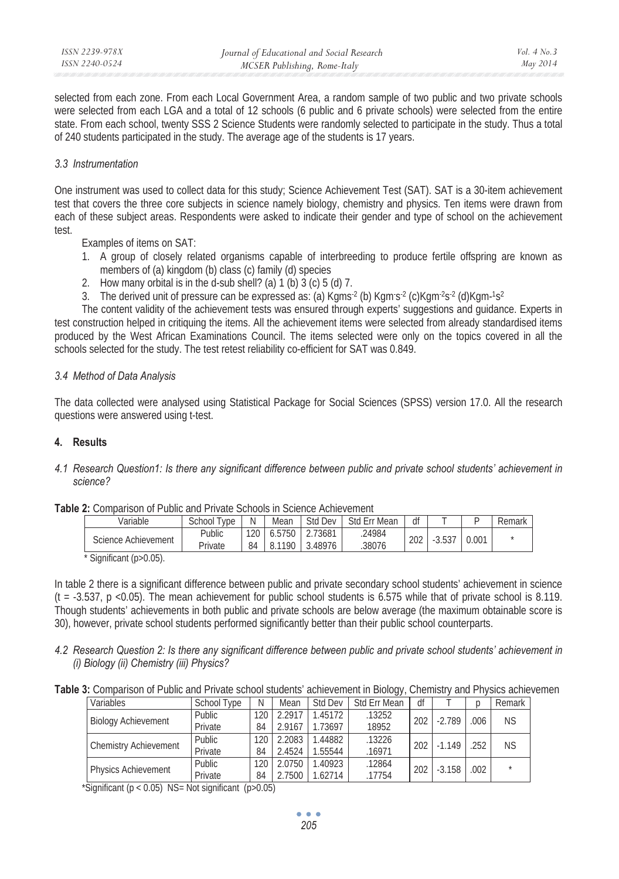selected from each zone. From each Local Government Area, a random sample of two public and two private schools were selected from each LGA and a total of 12 schools (6 public and 6 private schools) were selected from the entire state. From each school, twenty SSS 2 Science Students were randomly selected to participate in the study. Thus a total of 240 students participated in the study. The average age of the students is 17 years.

# *3.3 Instrumentation*

One instrument was used to collect data for this study; Science Achievement Test (SAT). SAT is a 30-item achievement test that covers the three core subjects in science namely biology, chemistry and physics. Ten items were drawn from each of these subject areas. Respondents were asked to indicate their gender and type of school on the achievement test.

Examples of items on SAT:

- 1. A group of closely related organisms capable of interbreeding to produce fertile offspring are known as members of (a) kingdom (b) class (c) family (d) species
- 2. How many orbital is in the d-sub shell? (a)  $1$  (b)  $3$  (c)  $5$  (d)  $7$ .
- 3. The derived unit of pressure can be expressed as: (a) Kgms<sup>-2</sup> (b) Kgms<sup>-2</sup> (c)Kgm<sup>-2</sup>s<sup>-2</sup> (d)Kgm-<sup>1</sup>s<sup>2</sup>

The content validity of the achievement tests was ensured through experts' suggestions and guidance. Experts in test construction helped in critiquing the items. All the achievement items were selected from already standardised items produced by the West African Examinations Council. The items selected were only on the topics covered in all the schools selected for the study. The test retest reliability co-efficient for SAT was 0.849.

## *3.4 Method of Data Analysis*

The data collected were analysed using Statistical Package for Social Sciences (SPSS) version 17.0. All the research questions were answered using t-test.

# **4. Results**

## *4.1 Research Question1: Is there any significant difference between public and private school students' achievement in science?*

#### **Table 2:** Comparison of Public and Private Schools in Science Achievement

| Variable            | School<br>vpe            | N         | Mean           | Std Dev        | Err<br>Mean<br>Std | df         |             | -                 | Remark |
|---------------------|--------------------------|-----------|----------------|----------------|--------------------|------------|-------------|-------------------|--------|
| Science Achievement | Public<br><b>Private</b> | 120<br>84 | 6.5750<br>1190 | 73681<br>48976 | .24984<br>.38076   | ากา<br>ZUZ | . .<br>ບ.ບບ | 0.00 <sup>1</sup> |        |

 $*$  Significant (p>0.05).

In table 2 there is a significant difference between public and private secondary school students' achievement in science  $(t = -3.537, p < 0.05)$ . The mean achievement for public school students is 6.575 while that of private school is 8.119. Though students' achievements in both public and private schools are below average (the maximum obtainable score is 30), however, private school students performed significantly better than their public school counterparts.

*4.2 Research Question 2: Is there any significant difference between public and private school students' achievement in (i) Biology (ii) Chemistry (iii) Physics?* 

|  |  |  |  |  | Table 3: Comparison of Public and Private school students' achievement in Biology, Chemistry and Physics achievemen |
|--|--|--|--|--|---------------------------------------------------------------------------------------------------------------------|
|--|--|--|--|--|---------------------------------------------------------------------------------------------------------------------|

| Variables                    | School Type | Ν   | Mean   | Std Dev  | Std Err Mean | df  |          |      | Remark    |
|------------------------------|-------------|-----|--------|----------|--------------|-----|----------|------|-----------|
| <b>Biology Achievement</b>   | Public.     | 120 | 2.2917 | 1.45172  | .13252       | 202 | $-2.789$ | .006 | <b>NS</b> |
|                              | Private     | 84  | 2.9167 | 1.73697  | 18952        |     |          |      |           |
| <b>Chemistry Achievement</b> | Public      | 120 | 2.2083 | 1.44882  | .13226       | 202 | $-1.149$ | .252 | <b>NS</b> |
|                              | Private     | 84  | 2.4524 | 1.55544. | .16971       |     |          |      |           |
| <b>Physics Achievement</b>   | Public.     | 120 | 2.0750 | 1.40923  | 12864        | 202 | $-3.158$ | .002 |           |
|                              | Private     | 84  | 2.7500 | 1.62714  | .17754       |     |          |      |           |

\*Significant ( $p < 0.05$ ) NS= Not significant ( $p > 0.05$ )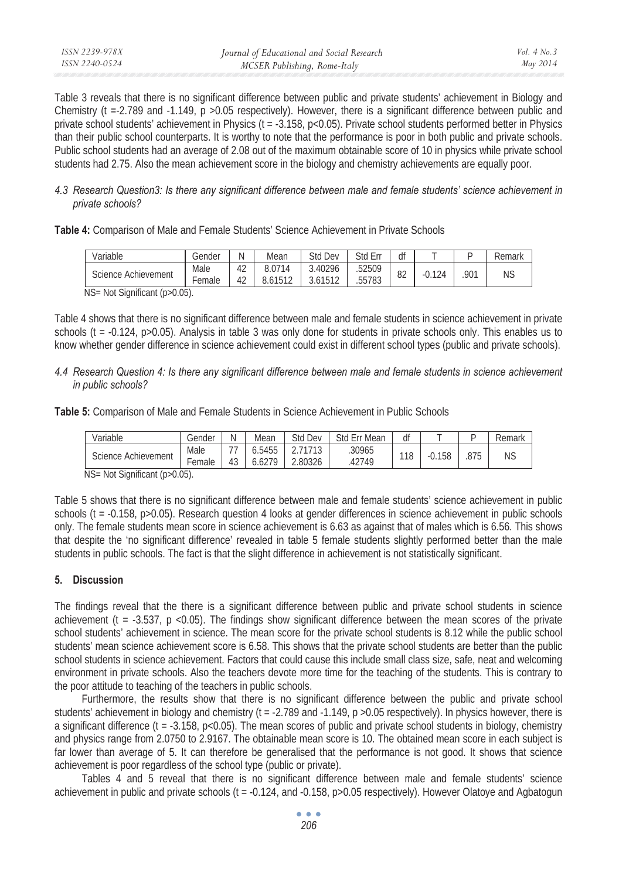Table 3 reveals that there is no significant difference between public and private students' achievement in Biology and Chemistry (t =-2.789 and -1.149, p >0.05 respectively). However, there is a significant difference between public and private school students' achievement in Physics ( $t = -3.158$ ,  $p < 0.05$ ). Private school students performed better in Physics than their public school counterparts. It is worthy to note that the performance is poor in both public and private schools. Public school students had an average of 2.08 out of the maximum obtainable score of 10 in physics while private school students had 2.75. Also the mean achievement score in the biology and chemistry achievements are equally poor.

#### *4.3 Research Question3: Is there any significant difference between male and female students' science achievement in private schools?*

**Table 4:** Comparison of Male and Female Students' Science Achievement in Private Schools

| 42<br>3.40296<br>8.0714<br>52509<br>Male                                                       | Ν<br>Std Dev<br>Variable<br>Std Err<br>Mean<br>Remark<br>Gender |           |  |  |  |  |  |  |  |  |  |  |
|------------------------------------------------------------------------------------------------|-----------------------------------------------------------------|-----------|--|--|--|--|--|--|--|--|--|--|
| оኅ<br>Science Achievement<br>0.124<br>ÖΖ<br>55783<br>42<br>3.61512<br>8.61512<br><b>Female</b> | 901                                                             | <b>NS</b> |  |  |  |  |  |  |  |  |  |  |

NS= Not Significant (p>0.05).

Table 4 shows that there is no significant difference between male and female students in science achievement in private schools ( $t = -0.124$ , p $>0.05$ ). Analysis in table 3 was only done for students in private schools only. This enables us to know whether gender difference in science achievement could exist in different school types (public and private schools).

## *4.4 Research Question 4: Is there any significant difference between male and female students in science achievement in public schools?*

**Table 5:** Comparison of Male and Female Students in Science Achievement in Public Schools

| $\overline{\phantom{a}}$<br>.30965<br>.5455<br>Male<br>158<br>.875<br>118<br><b>NS</b><br>Science Achievement<br>-U.<br>.80326<br>42749<br>.6279<br>emale | Variable | Gender | Ν | Mean | Std Dev | <b>Std Err Mean</b> | df |  | Remark |
|-----------------------------------------------------------------------------------------------------------------------------------------------------------|----------|--------|---|------|---------|---------------------|----|--|--------|
|                                                                                                                                                           |          |        |   |      |         |                     |    |  |        |

NS= Not Significant (p>0.05).

Table 5 shows that there is no significant difference between male and female students' science achievement in public schools ( $t = -0.158$ ,  $p > 0.05$ ). Research question 4 looks at gender differences in science achievement in public schools only. The female students mean score in science achievement is 6.63 as against that of males which is 6.56. This shows that despite the 'no significant difference' revealed in table 5 female students slightly performed better than the male students in public schools. The fact is that the slight difference in achievement is not statistically significant.

# **5. Discussion**

The findings reveal that the there is a significant difference between public and private school students in science achievement (t =  $-3.537$ , p  $\leq 0.05$ ). The findings show significant difference between the mean scores of the private school students' achievement in science. The mean score for the private school students is 8.12 while the public school students' mean science achievement score is 6.58. This shows that the private school students are better than the public school students in science achievement. Factors that could cause this include small class size, safe, neat and welcoming environment in private schools. Also the teachers devote more time for the teaching of the students. This is contrary to the poor attitude to teaching of the teachers in public schools.

Furthermore, the results show that there is no significant difference between the public and private school students' achievement in biology and chemistry (t = -2.789 and -1.149, p >0.05 respectively). In physics however, there is a significant difference (t = -3.158, p<0.05). The mean scores of public and private school students in biology, chemistry and physics range from 2.0750 to 2.9167. The obtainable mean score is 10. The obtained mean score in each subject is far lower than average of 5. It can therefore be generalised that the performance is not good. It shows that science achievement is poor regardless of the school type (public or private).

Tables 4 and 5 reveal that there is no significant difference between male and female students' science achievement in public and private schools (t = -0.124, and -0.158, p>0.05 respectively). However Olatoye and Agbatogun